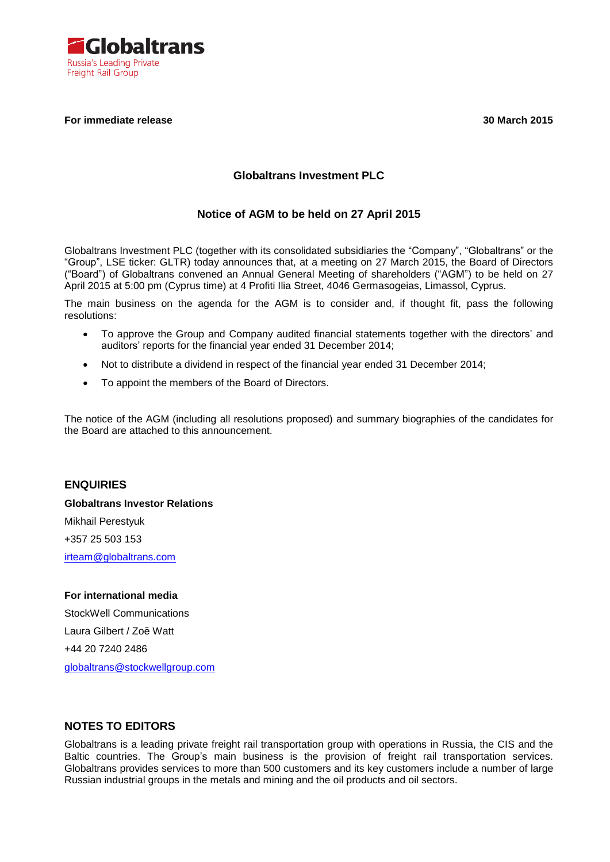

## **For immediate release 30 March 2015**

## **Globaltrans Investment PLC**

## **Notice of AGM to be held on 27 April 2015**

Globaltrans Investment PLC (together with its consolidated subsidiaries the "Company", "Globaltrans" or the "Group", LSE ticker: GLTR) today announces that, at a meeting on 27 March 2015, the Board of Directors ("Board") of Globaltrans convened an Annual General Meeting of shareholders ("AGM") to be held on 27 April 2015 at 5:00 pm (Cyprus time) at 4 Profiti Ilia Street, 4046 Germasogeias, Limassol, Cyprus.

The main business on the agenda for the AGM is to consider and, if thought fit, pass the following resolutions:

- To approve the Group and Company audited financial statements together with the directors' and auditors' reports for the financial year ended 31 December 2014;
- Not to distribute a dividend in respect of the financial year ended 31 December 2014;
- To appoint the members of the Board of Directors.

The notice of the AGM (including all resolutions proposed) and summary biographies of the candidates for the Board are attached to this announcement.

# **ENQUIRIES Globaltrans Investor Relations** Mikhail Perestyuk +357 25 503 153

[irteam@globaltrans.com](mailto:irteam@globaltrans.com)

## **For international media** StockWell Communications Laura Gilbert / Zoë Watt +44 20 7240 2486 [globaltrans@stockwellgroup.com](mailto:globaltrans@stockwellgroup.com)

## **NOTES TO EDITORS**

Globaltrans is a leading private freight rail transportation group with operations in Russia, the CIS and the Baltic countries. The Group's main business is the provision of freight rail transportation services. Globaltrans provides services to more than 500 customers and its key customers include a number of large Russian industrial groups in the metals and mining and the oil products and oil sectors.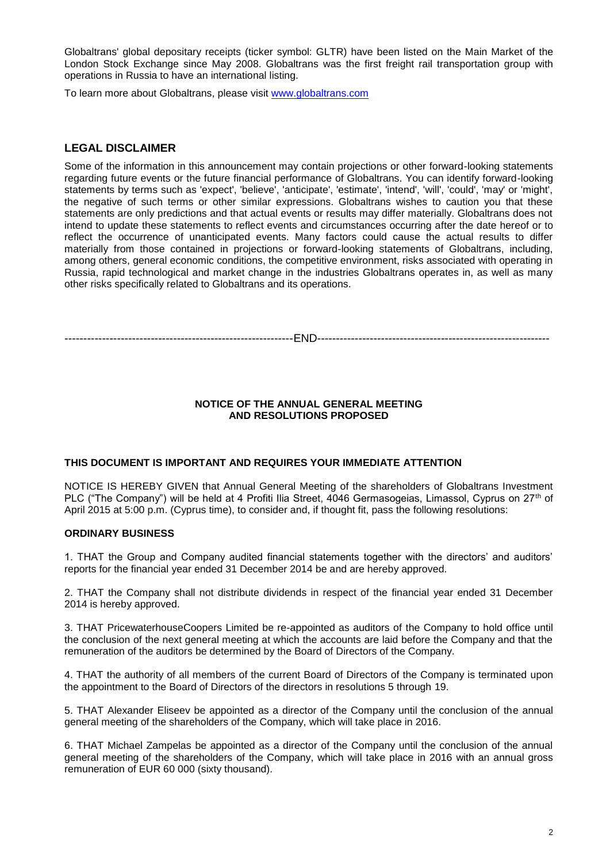Globaltrans' global depositary receipts (ticker symbol: GLTR) have been listed on the Main Market of the London Stock Exchange since May 2008. Globaltrans was the first freight rail transportation group with operations in Russia to have an international listing.

To learn more about Globaltrans, please visit [www.globaltrans.com](file:///C:/Users/Perestyuk/Desktop/GLTR%20FY%202013%20Results/FY2013%20Results%20Execution%20copies/RNS/www.globaltrans.com)

## **LEGAL DISCLAIMER**

Some of the information in this announcement may contain projections or other forward-looking statements regarding future events or the future financial performance of Globaltrans. You can identify forward-looking statements by terms such as 'expect', 'believe', 'anticipate', 'estimate', 'intend', 'will', 'could', 'may' or 'might', the negative of such terms or other similar expressions. Globaltrans wishes to caution you that these statements are only predictions and that actual events or results may differ materially. Globaltrans does not intend to update these statements to reflect events and circumstances occurring after the date hereof or to reflect the occurrence of unanticipated events. Many factors could cause the actual results to differ materially from those contained in projections or forward-looking statements of Globaltrans, including, among others, general economic conditions, the competitive environment, risks associated with operating in Russia, rapid technological and market change in the industries Globaltrans operates in, as well as many other risks specifically related to Globaltrans and its operations.

-------------------------------------------------------------END--------------------------------------------------------------

#### **NOTICE OF THE ANNUAL GENERAL MEETING AND RESOLUTIONS PROPOSED**

## **THIS DOCUMENT IS IMPORTANT AND REQUIRES YOUR IMMEDIATE ATTENTION**

NOTICE IS HEREBY GIVEN that Annual General Meeting of the shareholders of Globaltrans Investment PLC ("The Company") will be held at 4 Profiti Ilia Street, 4046 Germasogeias, Limassol, Cyprus on 27<sup>th</sup> of April 2015 at 5:00 p.m. (Cyprus time), to consider and, if thought fit, pass the following resolutions:

#### **ORDINARY BUSINESS**

1. THAT the Group and Company audited financial statements together with the directors' and auditors' reports for the financial year ended 31 December 2014 be and are hereby approved.

2. THAT the Company shall not distribute dividends in respect of the financial year ended 31 December 2014 is hereby approved.

3. THAT PricewaterhouseCoopers Limited be re-appointed as auditors of the Company to hold office until the conclusion of the next general meeting at which the accounts are laid before the Company and that the remuneration of the auditors be determined by the Board of Directors of the Company.

4. THAT the authority of all members of the current Board of Directors of the Company is terminated upon the appointment to the Board of Directors of the directors in resolutions 5 through 19.

5. THAT Alexander Eliseev be appointed as a director of the Company until the conclusion of the annual general meeting of the shareholders of the Company, which will take place in 2016.

6. THAT Michael Zampelas be appointed as a director of the Company until the conclusion of the annual general meeting of the shareholders of the Company, which will take place in 2016 with an annual gross remuneration of EUR 60 000 (sixty thousand).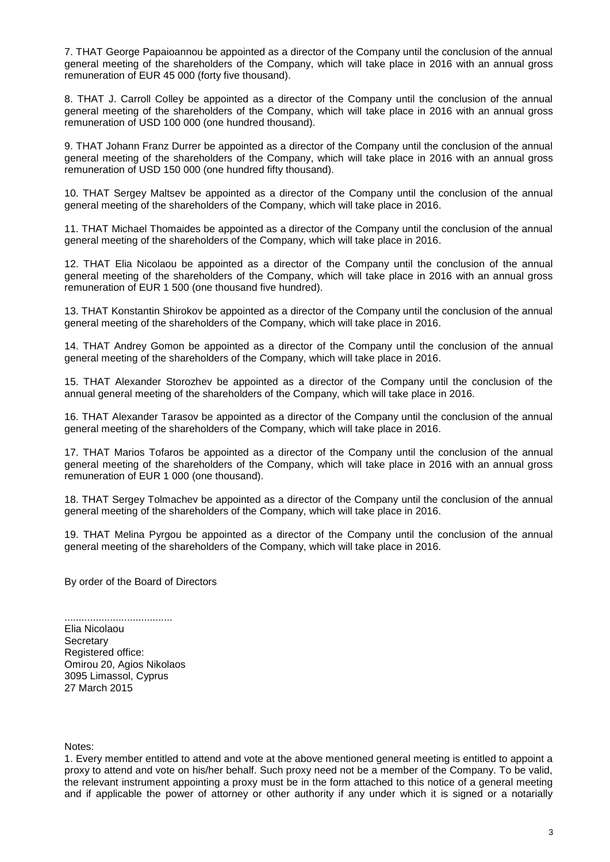7. THAT George Papaioannou be appointed as a director of the Company until the conclusion of the annual general meeting of the shareholders of the Company, which will take place in 2016 with an annual gross remuneration of EUR 45 000 (forty five thousand).

8. THAT J. Carroll Colley be appointed as a director of the Company until the conclusion of the annual general meeting of the shareholders of the Company, which will take place in 2016 with an annual gross remuneration of USD 100 000 (one hundred thousand).

9. THAT Johann Franz Durrer be appointed as a director of the Company until the conclusion of the annual general meeting of the shareholders of the Company, which will take place in 2016 with an annual gross remuneration of USD 150 000 (one hundred fifty thousand).

10. THAT Sergey Maltsev be appointed as a director of the Company until the conclusion of the annual general meeting of the shareholders of the Company, which will take place in 2016.

11. THAT Michael Thomaides be appointed as a director of the Company until the conclusion of the annual general meeting of the shareholders of the Company, which will take place in 2016.

12. THAT Elia Nicolaou be appointed as a director of the Company until the conclusion of the annual general meeting of the shareholders of the Company, which will take place in 2016 with an annual gross remuneration of EUR 1 500 (one thousand five hundred).

13. THAT Konstantin Shirokov be appointed as a director of the Company until the conclusion of the annual general meeting of the shareholders of the Company, which will take place in 2016.

14. THAT Andrey Gomon be appointed as a director of the Company until the conclusion of the annual general meeting of the shareholders of the Company, which will take place in 2016.

15. THAT Alexander Storozhev be appointed as a director of the Company until the conclusion of the annual general meeting of the shareholders of the Company, which will take place in 2016.

16. THAT Alexander Tarasov be appointed as a director of the Company until the conclusion of the annual general meeting of the shareholders of the Company, which will take place in 2016.

17. THAT Marios Tofaros be appointed as a director of the Company until the conclusion of the annual general meeting of the shareholders of the Company, which will take place in 2016 with an annual gross remuneration of EUR 1 000 (one thousand).

18. THAT Sergey Tolmachev be appointed as a director of the Company until the conclusion of the annual general meeting of the shareholders of the Company, which will take place in 2016.

19. THAT Melina Pyrgou be appointed as a director of the Company until the conclusion of the annual general meeting of the shareholders of the Company, which will take place in 2016.

By order of the Board of Directors

...................................... Elia Nicolaou **Secretary** Registered office: Omirou 20, Agios Nikolaos 3095 Limassol, Cyprus 27 March 2015

Notes:

1. Every member entitled to attend and vote at the above mentioned general meeting is entitled to appoint a proxy to attend and vote on his/her behalf. Such proxy need not be a member of the Company. To be valid, the relevant instrument appointing a proxy must be in the form attached to this notice of a general meeting and if applicable the power of attorney or other authority if any under which it is signed or a notarially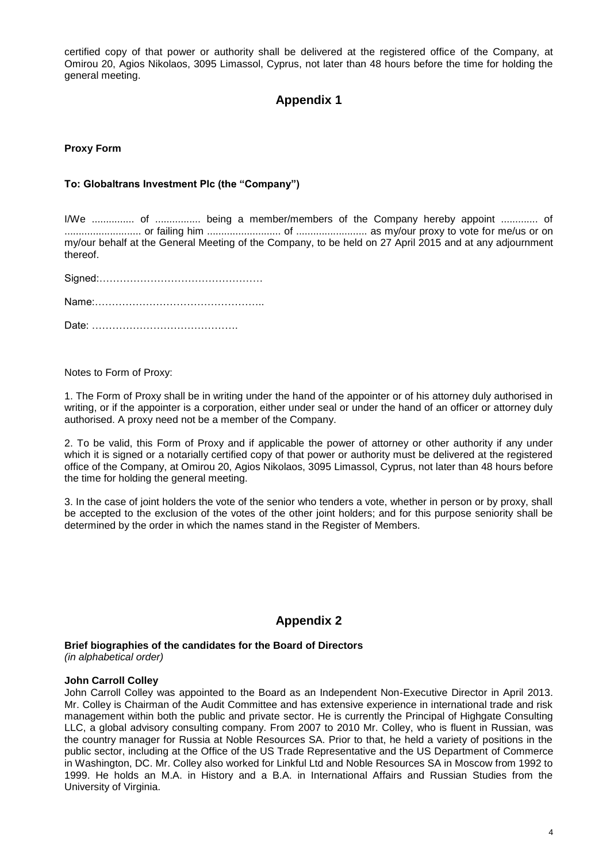certified copy of that power or authority shall be delivered at the registered office of the Company, at Omirou 20, Agios Nikolaos, 3095 Limassol, Cyprus, not later than 48 hours before the time for holding the general meeting.

## **Appendix 1**

#### **Proxy Form**

#### **To: Globaltrans Investment Plc (the "Company")**

I/We ............... of ................ being a member/members of the Company hereby appoint ............. of ........................... or failing him .......................... of ......................... as my/our proxy to vote for me/us or on my/our behalf at the General Meeting of the Company, to be held on 27 April 2015 and at any adjournment thereof.

Notes to Form of Proxy:

1. The Form of Proxy shall be in writing under the hand of the appointer or of his attorney duly authorised in writing, or if the appointer is a corporation, either under seal or under the hand of an officer or attorney duly authorised. A proxy need not be a member of the Company.

2. To be valid, this Form of Proxy and if applicable the power of attorney or other authority if any under which it is signed or a notarially certified copy of that power or authority must be delivered at the registered office of the Company, at Omirou 20, Agios Nikolaos, 3095 Limassol, Cyprus, not later than 48 hours before the time for holding the general meeting.

3. In the case of joint holders the vote of the senior who tenders a vote, whether in person or by proxy, shall be accepted to the exclusion of the votes of the other joint holders; and for this purpose seniority shall be determined by the order in which the names stand in the Register of Members.

## **Appendix 2**

**Brief biographies of the candidates for the Board of Directors**

*(in alphabetical order)*

#### **John Carroll Colley**

John Carroll Colley was appointed to the Board as an Independent Non-Executive Director in April 2013. Mr. Colley is Chairman of the Audit Committee and has extensive experience in international trade and risk management within both the public and private sector. He is currently the Principal of Highgate Consulting LLC, a global advisory consulting company. From 2007 to 2010 Mr. Colley, who is fluent in Russian, was the country manager for Russia at Noble Resources SA. Prior to that, he held a variety of positions in the public sector, including at the Office of the US Trade Representative and the US Department of Commerce in Washington, DC. Mr. Colley also worked for Linkful Ltd and Noble Resources SA in Moscow from 1992 to 1999. He holds an M.A. in History and a B.A. in International Affairs and Russian Studies from the University of Virginia.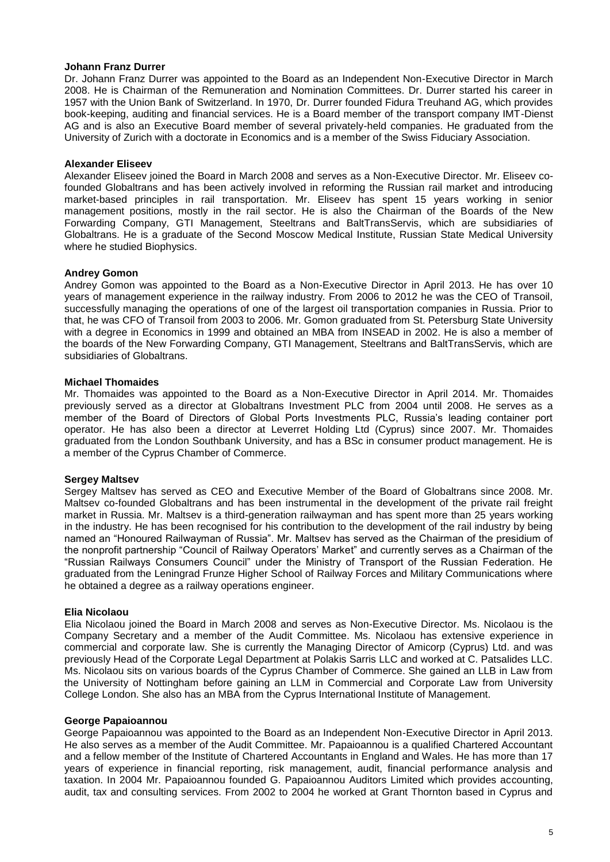#### **Johann Franz Durrer**

Dr. Johann Franz Durrer was appointed to the Board as an Independent Non-Executive Director in March 2008. He is Chairman of the Remuneration and Nomination Committees. Dr. Durrer started his career in 1957 with the Union Bank of Switzerland. In 1970, Dr. Durrer founded Fidura Treuhand AG, which provides book-keeping, auditing and financial services. He is a Board member of the transport company IMT-Dienst AG and is also an Executive Board member of several privately-held companies. He graduated from the University of Zurich with a doctorate in Economics and is a member of the Swiss Fiduciary Association.

#### **Alexander Eliseev**

Alexander Eliseev joined the Board in March 2008 and serves as a Non-Executive Director. Mr. Eliseev cofounded Globaltrans and has been actively involved in reforming the Russian rail market and introducing market-based principles in rail transportation. Mr. Eliseev has spent 15 years working in senior management positions, mostly in the rail sector. He is also the Chairman of the Boards of the New Forwarding Company, GTI Management, Steeltrans and BaltTransServis, which are subsidiaries of Globaltrans. He is a graduate of the Second Moscow Medical Institute, Russian State Medical University where he studied Biophysics.

#### **Andrey Gomon**

Andrey Gomon was appointed to the Board as a Non-Executive Director in April 2013. He has over 10 years of management experience in the railway industry. From 2006 to 2012 he was the CEO of Transoil, successfully managing the operations of one of the largest oil transportation companies in Russia. Prior to that, he was CFO of Transoil from 2003 to 2006. Mr. Gomon graduated from St. Petersburg State University with a degree in Economics in 1999 and obtained an MBA from INSEAD in 2002. He is also a member of the boards of the New Forwarding Company, GTI Management, Steeltrans and BaltTransServis, which are subsidiaries of Globaltrans.

#### **Michael Thomaides**

Mr. Thomaides was appointed to the Board as a Non-Executive Director in April 2014. Mr. Thomaides previously served as a director at Globaltrans Investment PLC from 2004 until 2008. He serves as a member of the Board of Directors of Global Ports Investments PLC, Russia's leading container port operator. He has also been a director at Leverret Holding Ltd (Cyprus) since 2007. Mr. Thomaides graduated from the London Southbank University, and has a BSc in consumer product management. He is a member of the Cyprus Chamber of Commerce.

#### **Sergey Maltsev**

Sergey Maltsev has served as CEO and Executive Member of the Board of Globaltrans since 2008. Mr. Maltsev co-founded Globaltrans and has been instrumental in the development of the private rail freight market in Russia. Mr. Maltsev is a third-generation railwayman and has spent more than 25 years working in the industry. He has been recognised for his contribution to the development of the rail industry by being named an "Honoured Railwayman of Russia". Mr. Maltsev has served as the Chairman of the presidium of the nonprofit partnership "Council of Railway Operators' Market" and currently serves as a Chairman of the "Russian Railways Consumers Council" under the Ministry of Transport of the Russian Federation. He graduated from the Leningrad Frunze Higher School of Railway Forces and Military Communications where he obtained a degree as a railway operations engineer.

#### **Elia Nicolaou**

Elia Nicolaou joined the Board in March 2008 and serves as Non-Executive Director. Ms. Nicolaou is the Company Secretary and a member of the Audit Committee. Ms. Nicolaou has extensive experience in commercial and corporate law. She is currently the Managing Director of Amicorp (Cyprus) Ltd. and was previously Head of the Corporate Legal Department at Polakis Sarris LLC and worked at C. Patsalides LLC. Ms. Nicolaou sits on various boards of the Cyprus Chamber of Commerce. She gained an LLB in Law from the University of Nottingham before gaining an LLM in Commercial and Corporate Law from University College London. She also has an MBA from the Cyprus International Institute of Management.

#### **George Papaioannou**

George Papaioannou was appointed to the Board as an Independent Non-Executive Director in April 2013. He also serves as a member of the Audit Committee. Mr. Papaioannou is a qualified Chartered Accountant and a fellow member of the Institute of Chartered Accountants in England and Wales. He has more than 17 years of experience in financial reporting, risk management, audit, financial performance analysis and taxation. In 2004 Mr. Papaioannou founded G. Papaioannou Auditors Limited which provides accounting, audit, tax and consulting services. From 2002 to 2004 he worked at Grant Thornton based in Cyprus and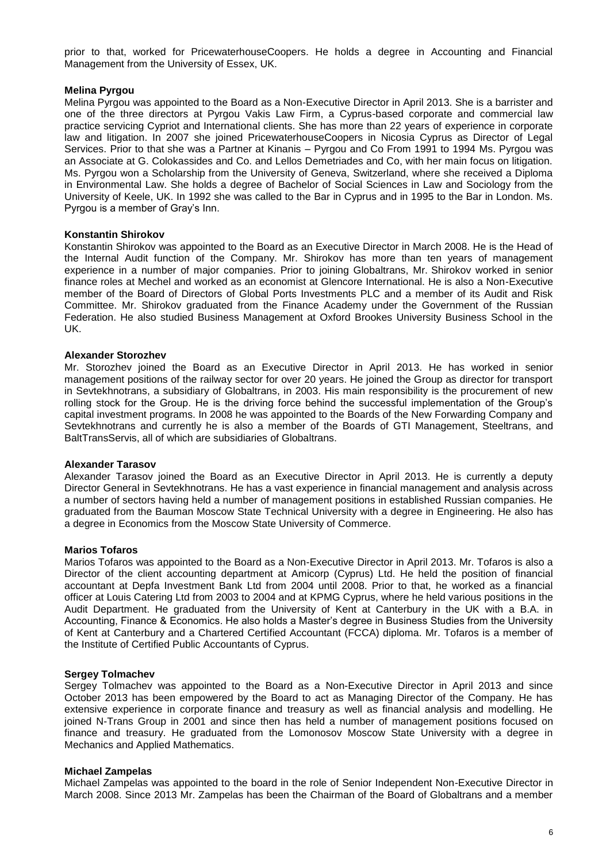prior to that, worked for PricewaterhouseCoopers. He holds a degree in Accounting and Financial Management from the University of Essex, UK.

#### **Melina Pyrgou**

Melina Pyrgou was appointed to the Board as a Non-Executive Director in April 2013. She is a barrister and one of the three directors at Pyrgou Vakis Law Firm, a Cyprus-based corporate and commercial law practice servicing Cypriot and International clients. She has more than 22 years of experience in corporate law and litigation. In 2007 she joined PricewaterhouseCoopers in Nicosia Cyprus as Director of Legal Services. Prior to that she was a Partner at Kinanis – Pyrgou and Co From 1991 to 1994 Ms. Pyrgou was an Associate at G. Colokassides and Co. and Lellos Demetriades and Co, with her main focus on litigation. Ms. Pyrgou won a Scholarship from the University of Geneva, Switzerland, where she received a Diploma in Environmental Law. She holds a degree of Bachelor of Social Sciences in Law and Sociology from the University of Keele, UK. In 1992 she was called to the Bar in Cyprus and in 1995 to the Bar in London. Ms. Pyrgou is a member of Gray's Inn.

#### **Konstantin Shirokov**

Konstantin Shirokov was appointed to the Board as an Executive Director in March 2008. He is the Head of the Internal Audit function of the Company. Mr. Shirokov has more than ten years of management experience in a number of major companies. Prior to joining Globaltrans, Mr. Shirokov worked in senior finance roles at Mechel and worked as an economist at Glencore International. He is also a Non-Executive member of the Board of Directors of Global Ports Investments PLC and a member of its Audit and Risk Committee. Mr. Shirokov graduated from the Finance Academy under the Government of the Russian Federation. He also studied Business Management at Oxford Brookes University Business School in the UK.

#### **Alexander Storozhev**

Mr. Storozhev joined the Board as an Executive Director in April 2013. He has worked in senior management positions of the railway sector for over 20 years. He joined the Group as director for transport in Sevtekhnotrans, a subsidiary of Globaltrans, in 2003. His main responsibility is the procurement of new rolling stock for the Group. He is the driving force behind the successful implementation of the Group's capital investment programs. In 2008 he was appointed to the Boards of the New Forwarding Company and Sevtekhnotrans and currently he is also a member of the Boards of GTI Management, Steeltrans, and BaltTransServis, all of which are subsidiaries of Globaltrans.

#### **Alexander Tarasov**

Alexander Tarasov joined the Board as an Executive Director in April 2013. He is currently a deputy Director General in Sevtekhnotrans. He has a vast experience in financial management and analysis across a number of sectors having held a number of management positions in established Russian companies. He graduated from the Bauman Moscow State Technical University with a degree in Engineering. He also has a degree in Economics from the Moscow State University of Commerce.

#### **Marios Tofaros**

Marios Tofaros was appointed to the Board as a Non-Executive Director in April 2013. Mr. Tofaros is also a Director of the client accounting department at Amicorp (Cyprus) Ltd. He held the position of financial accountant at Depfa Investment Bank Ltd from 2004 until 2008. Prior to that, he worked as a financial officer at Louis Catering Ltd from 2003 to 2004 and at KPMG Cyprus, where he held various positions in the Audit Department. He graduated from the University of Kent at Canterbury in the UK with a B.A. in Accounting, Finance & Economics. He also holds a Master's degree in Business Studies from the University of Kent at Canterbury and a Chartered Certified Accountant (FCCA) diploma. Mr. Tofaros is a member of the Institute of Certified Public Accountants of Cyprus.

#### **Sergey Tolmachev**

Sergey Tolmachev was appointed to the Board as a Non-Executive Director in April 2013 and since October 2013 has been empowered by the Board to act as Managing Director of the Company. He has extensive experience in corporate finance and treasury as well as financial analysis and modelling. He joined N-Trans Group in 2001 and since then has held a number of management positions focused on finance and treasury. He graduated from the Lomonosov Moscow State University with a degree in Mechanics and Applied Mathematics.

#### **Michael Zampelas**

Michael Zampelas was appointed to the board in the role of Senior Independent Non-Executive Director in March 2008. Since 2013 Mr. Zampelas has been the Chairman of the Board of Globaltrans and a member